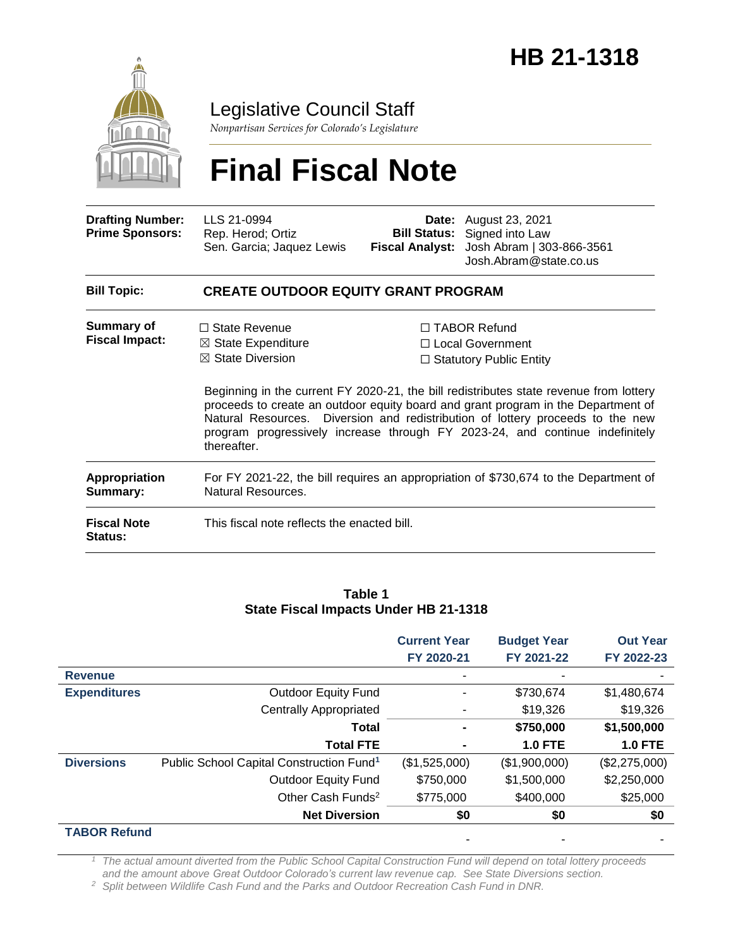

Legislative Council Staff

*Nonpartisan Services for Colorado's Legislature*

# **Final Fiscal Note**

| <b>Drafting Number:</b><br><b>Prime Sponsors:</b> | LLS 21-0994<br>Rep. Herod; Ortiz<br>Sen. Garcia; Jaquez Lewis                                                                                                                                                                                                                                                                                                | <b>Fiscal Analyst:</b> | <b>Date:</b> August 23, 2021<br><b>Bill Status:</b> Signed into Law<br>Josh Abram   303-866-3561<br>Josh.Abram@state.co.us |
|---------------------------------------------------|--------------------------------------------------------------------------------------------------------------------------------------------------------------------------------------------------------------------------------------------------------------------------------------------------------------------------------------------------------------|------------------------|----------------------------------------------------------------------------------------------------------------------------|
| <b>Bill Topic:</b>                                | <b>CREATE OUTDOOR EQUITY GRANT PROGRAM</b>                                                                                                                                                                                                                                                                                                                   |                        |                                                                                                                            |
| Summary of<br><b>Fiscal Impact:</b>               | $\Box$ State Revenue<br>$\boxtimes$ State Expenditure<br>$\boxtimes$ State Diversion                                                                                                                                                                                                                                                                         |                        | $\Box$ TABOR Refund<br>□ Local Government<br>$\Box$ Statutory Public Entity                                                |
|                                                   | Beginning in the current FY 2020-21, the bill redistributes state revenue from lottery<br>proceeds to create an outdoor equity board and grant program in the Department of<br>Natural Resources. Diversion and redistribution of lottery proceeds to the new<br>program progressively increase through FY 2023-24, and continue indefinitely<br>thereafter. |                        |                                                                                                                            |
| <b>Appropriation</b><br>Summary:                  | For FY 2021-22, the bill requires an appropriation of \$730,674 to the Department of<br>Natural Resources.                                                                                                                                                                                                                                                   |                        |                                                                                                                            |
| <b>Fiscal Note</b><br><b>Status:</b>              | This fiscal note reflects the enacted bill.                                                                                                                                                                                                                                                                                                                  |                        |                                                                                                                            |

#### **Table 1 State Fiscal Impacts Under HB 21-1318**

|                     |                                                      | <b>Current Year</b><br>FY 2020-21 | <b>Budget Year</b><br>FY 2021-22 | <b>Out Year</b><br>FY 2022-23 |
|---------------------|------------------------------------------------------|-----------------------------------|----------------------------------|-------------------------------|
| <b>Revenue</b>      |                                                      |                                   |                                  |                               |
| <b>Expenditures</b> | <b>Outdoor Equity Fund</b>                           |                                   | \$730,674                        | \$1,480,674                   |
|                     | <b>Centrally Appropriated</b>                        |                                   | \$19,326                         | \$19,326                      |
|                     | Total                                                |                                   | \$750,000                        | \$1,500,000                   |
|                     | <b>Total FTE</b>                                     |                                   | <b>1.0 FTE</b>                   | <b>1.0 FTE</b>                |
| <b>Diversions</b>   | Public School Capital Construction Fund <sup>1</sup> | (\$1,525,000)                     | (\$1,900,000)                    | (\$2,275,000)                 |
|                     | <b>Outdoor Equity Fund</b>                           | \$750,000                         | \$1,500,000                      | \$2,250,000                   |
|                     | Other Cash Funds <sup>2</sup>                        | \$775,000                         | \$400,000                        | \$25,000                      |
|                     | <b>Net Diversion</b>                                 | \$0                               | \$0                              | \$0                           |
| <b>TABOR Refund</b> |                                                      |                                   |                                  |                               |

*<sup>1</sup> The actual amount diverted from the Public School Capital Construction Fund will depend on total lottery proceeds and the amount above Great Outdoor Colorado's current law revenue cap. See State Diversions section.*

*<sup>2</sup> Split between Wildlife Cash Fund and the Parks and Outdoor Recreation Cash Fund in DNR.*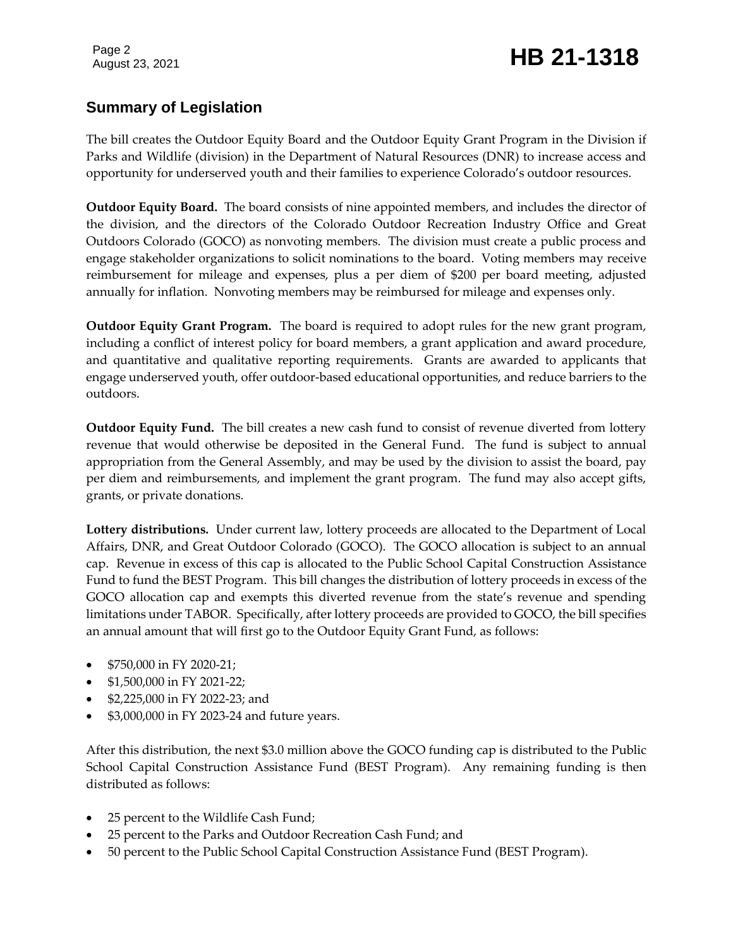# August 23, 2021 **HB 21-1318**

### **Summary of Legislation**

The bill creates the Outdoor Equity Board and the Outdoor Equity Grant Program in the Division if Parks and Wildlife (division) in the Department of Natural Resources (DNR) to increase access and opportunity for underserved youth and their families to experience Colorado's outdoor resources.

**Outdoor Equity Board.** The board consists of nine appointed members, and includes the director of the division, and the directors of the Colorado Outdoor Recreation Industry Office and Great Outdoors Colorado (GOCO) as nonvoting members. The division must create a public process and engage stakeholder organizations to solicit nominations to the board. Voting members may receive reimbursement for mileage and expenses, plus a per diem of \$200 per board meeting, adjusted annually for inflation. Nonvoting members may be reimbursed for mileage and expenses only.

**Outdoor Equity Grant Program.** The board is required to adopt rules for the new grant program, including a conflict of interest policy for board members, a grant application and award procedure, and quantitative and qualitative reporting requirements. Grants are awarded to applicants that engage underserved youth, offer outdoor-based educational opportunities, and reduce barriers to the outdoors.

**Outdoor Equity Fund.** The bill creates a new cash fund to consist of revenue diverted from lottery revenue that would otherwise be deposited in the General Fund. The fund is subject to annual appropriation from the General Assembly, and may be used by the division to assist the board, pay per diem and reimbursements, and implement the grant program. The fund may also accept gifts, grants, or private donations.

**Lottery distributions.** Under current law, lottery proceeds are allocated to the Department of Local Affairs, DNR, and Great Outdoor Colorado (GOCO). The GOCO allocation is subject to an annual cap. Revenue in excess of this cap is allocated to the Public School Capital Construction Assistance Fund to fund the BEST Program. This bill changes the distribution of lottery proceeds in excess of the GOCO allocation cap and exempts this diverted revenue from the state's revenue and spending limitations under TABOR. Specifically, after lottery proceeds are provided to GOCO, the bill specifies an annual amount that will first go to the Outdoor Equity Grant Fund, as follows:

- **•** \$750,000 in FY 2020-21;
- \$1,500,000 in FY 2021-22;
- \$2,225,000 in FY 2022-23; and
- \$3,000,000 in FY 2023-24 and future years.

After this distribution, the next \$3.0 million above the GOCO funding cap is distributed to the Public School Capital Construction Assistance Fund (BEST Program). Any remaining funding is then distributed as follows:

- 25 percent to the Wildlife Cash Fund;
- 25 percent to the Parks and Outdoor Recreation Cash Fund; and
- 50 percent to the Public School Capital Construction Assistance Fund (BEST Program).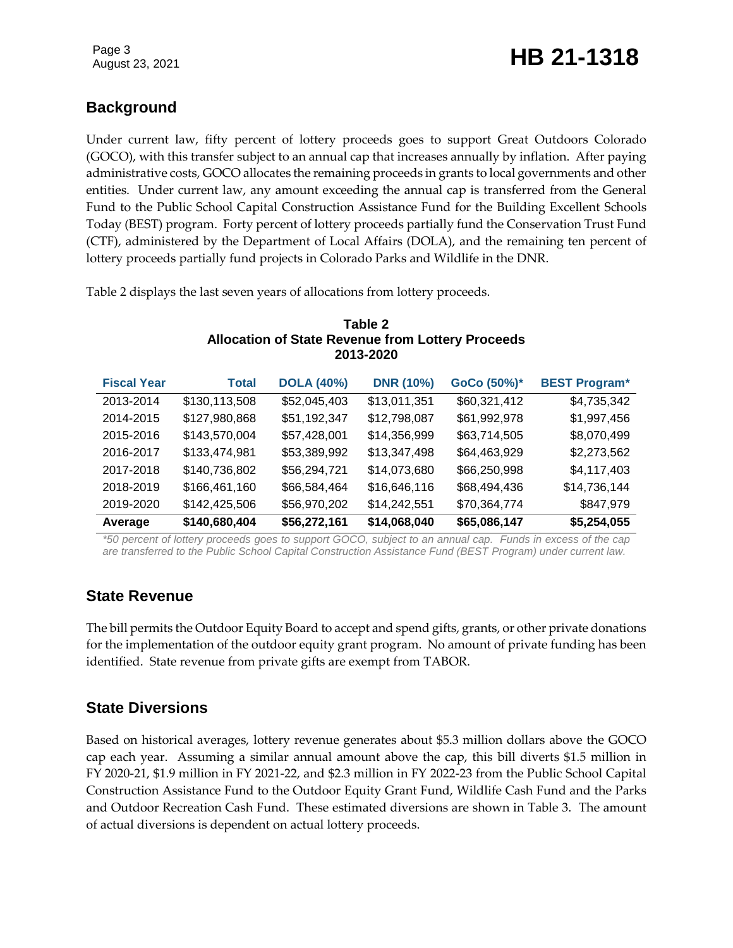## August 23, 2021 **HB 21-1318**

### **Background**

Under current law, fifty percent of lottery proceeds goes to support Great Outdoors Colorado (GOCO), with this transfer subject to an annual cap that increases annually by inflation. After paying administrative costs, GOCO allocates the remaining proceeds in grants to local governments and other entities. Under current law, any amount exceeding the annual cap is transferred from the General Fund to the Public School Capital Construction Assistance Fund for the Building Excellent Schools Today (BEST) program. Forty percent of lottery proceeds partially fund the Conservation Trust Fund (CTF), administered by the Department of Local Affairs (DOLA), and the remaining ten percent of lottery proceeds partially fund projects in Colorado Parks and Wildlife in the DNR.

Table 2 displays the last seven years of allocations from lottery proceeds.

#### **Table 2 Allocation of State Revenue from Lottery Proceeds 2013-2020**

| <b>Fiscal Year</b> | <b>Total</b>  | <b>DOLA (40%)</b> | <b>DNR (10%)</b> | GoCo (50%)*  | <b>BEST Program*</b> |
|--------------------|---------------|-------------------|------------------|--------------|----------------------|
| 2013-2014          | \$130,113,508 | \$52,045,403      | \$13,011,351     | \$60,321,412 | \$4,735,342          |
| 2014-2015          | \$127,980,868 | \$51,192,347      | \$12,798,087     | \$61,992,978 | \$1,997,456          |
| 2015-2016          | \$143,570,004 | \$57,428,001      | \$14,356,999     | \$63,714,505 | \$8,070,499          |
| 2016-2017          | \$133,474,981 | \$53,389,992      | \$13,347,498     | \$64,463,929 | \$2,273,562          |
| 2017-2018          | \$140,736,802 | \$56,294,721      | \$14,073,680     | \$66,250,998 | \$4,117,403          |
| 2018-2019          | \$166,461,160 | \$66,584,464      | \$16,646,116     | \$68,494,436 | \$14,736,144         |
| 2019-2020          | \$142,425,506 | \$56,970,202      | \$14,242,551     | \$70,364,774 | \$847,979            |
| Average            | \$140,680,404 | \$56,272,161      | \$14,068,040     | \$65,086,147 | \$5,254,055          |

*\*50 percent of lottery proceeds goes to support GOCO, subject to an annual cap. Funds in excess of the cap are transferred to the Public School Capital Construction Assistance Fund (BEST Program) under current law.*

### **State Revenue**

The bill permits the Outdoor Equity Board to accept and spend gifts, grants, or other private donations for the implementation of the outdoor equity grant program. No amount of private funding has been identified. State revenue from private gifts are exempt from TABOR.

### **State Diversions**

Based on historical averages, lottery revenue generates about \$5.3 million dollars above the GOCO cap each year. Assuming a similar annual amount above the cap, this bill diverts \$1.5 million in FY 2020-21, \$1.9 million in FY 2021-22, and \$2.3 million in FY 2022-23 from the Public School Capital Construction Assistance Fund to the Outdoor Equity Grant Fund, Wildlife Cash Fund and the Parks and Outdoor Recreation Cash Fund. These estimated diversions are shown in Table 3. The amount of actual diversions is dependent on actual lottery proceeds.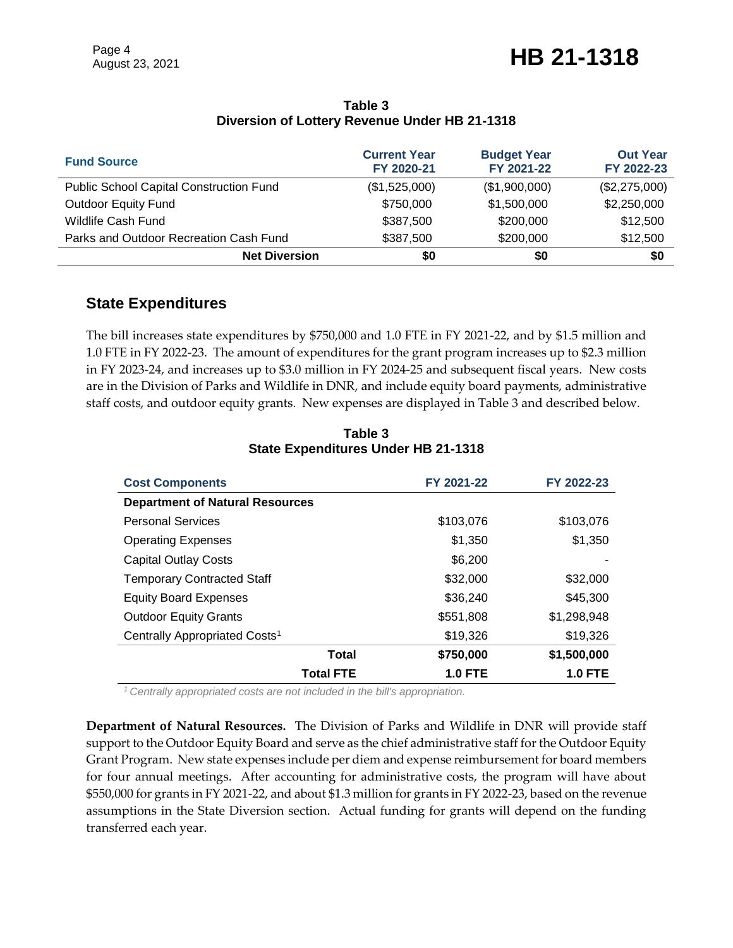## August 23, 2021 **HB 21-1318**

| <b>Fund Source</b>                             | <b>Current Year</b><br>FY 2020-21 | <b>Budget Year</b><br>FY 2021-22 | <b>Out Year</b><br>FY 2022-23 |
|------------------------------------------------|-----------------------------------|----------------------------------|-------------------------------|
| <b>Public School Capital Construction Fund</b> | (\$1,525,000)                     | (\$1,900,000)                    | (\$2,275,000)                 |
| <b>Outdoor Equity Fund</b>                     | \$750,000                         | \$1,500,000                      | \$2,250,000                   |
| <b>Wildlife Cash Fund</b>                      | \$387,500                         | \$200,000                        | \$12,500                      |
| Parks and Outdoor Recreation Cash Fund         | \$387,500                         | \$200,000                        | \$12,500                      |
| <b>Net Diversion</b>                           | \$0                               | \$0                              | \$0                           |

#### **Table 3 Diversion of Lottery Revenue Under HB 21-1318**

#### **State Expenditures**

The bill increases state expenditures by \$750,000 and 1.0 FTE in FY 2021-22, and by \$1.5 million and 1.0 FTE in FY 2022-23. The amount of expenditures for the grant program increases up to \$2.3 million in FY 2023-24, and increases up to \$3.0 million in FY 2024-25 and subsequent fiscal years. New costs are in the Division of Parks and Wildlife in DNR, and include equity board payments, administrative staff costs, and outdoor equity grants. New expenses are displayed in Table 3 and described below.

| <b>Cost Components</b>                    | FY 2021-22     | FY 2022-23     |
|-------------------------------------------|----------------|----------------|
| <b>Department of Natural Resources</b>    |                |                |
| <b>Personal Services</b>                  | \$103,076      | \$103,076      |
| <b>Operating Expenses</b>                 | \$1,350        | \$1,350        |
| <b>Capital Outlay Costs</b>               | \$6,200        |                |
| <b>Temporary Contracted Staff</b>         | \$32,000       | \$32,000       |
| <b>Equity Board Expenses</b>              | \$36,240       | \$45,300       |
| <b>Outdoor Equity Grants</b>              | \$551,808      | \$1,298,948    |
| Centrally Appropriated Costs <sup>1</sup> | \$19,326       | \$19,326       |
| <b>Total</b>                              | \$750,000      | \$1,500,000    |
| <b>Total FTE</b>                          | <b>1.0 FTE</b> | <b>1.0 FTE</b> |

**Table 3 State Expenditures Under HB 21-1318**

*<sup>1</sup>Centrally appropriated costs are not included in the bill's appropriation.*

**Department of Natural Resources.** The Division of Parks and Wildlife in DNR will provide staff support to the Outdoor Equity Board and serve as the chief administrative staff for the Outdoor Equity Grant Program. New state expenses include per diem and expense reimbursement for board members for four annual meetings. After accounting for administrative costs, the program will have about \$550,000 for grants in FY 2021-22, and about \$1.3 million for grants in FY 2022-23, based on the revenue assumptions in the State Diversion section. Actual funding for grants will depend on the funding transferred each year.